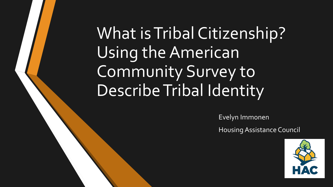# What is Tribal Citizenship? Using the American Community Survey to Describe Tribal Identity

Evelyn Immonen

Housing Assistance Council

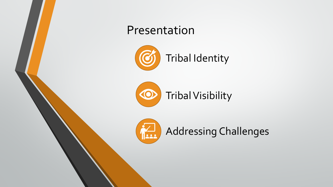

Addressing Challenges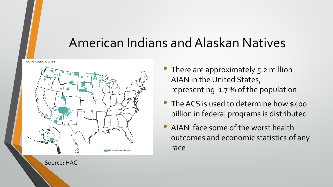### American Indians and Alaskan Natives

**NATIVE AMERICAN LANDS** 



Source: HAC

- There are approximately 5.2 million AIAN in the United States, representing 1.7 % of the population
- The ACS is used to determine how \$400 billion in federal programs is distributed
- AIAN face some of the worst health outcomes and economic statistics of any race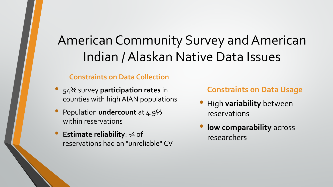## American Community Survey and American Indian / Alaskan Native Data Issues

#### **Constraints on Data Collection**

- 54% survey **participation rates** in counties with high AIAN populations
- Population **undercount** at 4.9% within reservations
- **Estimate reliability**: ¼ of reservations had an "unreliable" CV

### **Constraints on Data Usage**

- High **variability** between reservations
- **low comparability** across researchers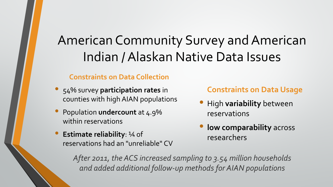## American Community Survey and American Indian / Alaskan Native Data Issues

### **Constraints on Data Collection**

- 54% survey **participation rates** in counties with high AIAN populations
- Population **undercount** at 4.9% within reservations
- **Estimate reliability**: ¼ of reservations had an "unreliable" CV

**Constraints on Data Usage**

- High **variability** between reservations
- **low comparability** across researchers

*After 2011, the ACS increased sampling to 3.54 million households and added additional follow-up methods for AIAN populations*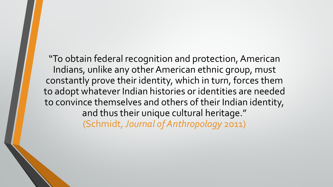"To obtain federal recognition and protection, American Indians, unlike any other American ethnic group, must constantly prove their identity, which in turn, forces them to adopt whatever Indian histories or identities are needed to convince themselves and others of their Indian identity, and thus their unique cultural heritage." (Schmidt, *Journal of Anthropology* 2011)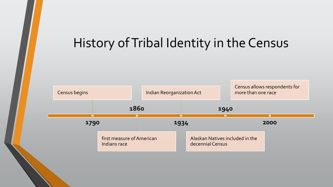### History of Tribal Identity in the Census

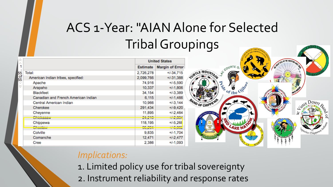## ACS 1-Year: "AIAN Alone for Selected Tribal Groupings

|          |                                     | <b>United States</b>         |                                   |
|----------|-------------------------------------|------------------------------|-----------------------------------|
|          |                                     | <b>Estimate</b>              | <b>Margin of Error</b>            |
| 6        | Total:                              | 2,726,278                    | $+/-34.715$                       |
| of<br>i5 | American Indian tribes, specified:  | 2,099,766                    | $+/-31,388$                       |
| v        | Apache                              | 74,916                       | $+/-5,590$                        |
| S        | Arapaho                             | 10,337                       | $+/-1,806$                        |
|          | <b>Blackfeet</b>                    | 34,154                       | $+1 - 3,389$                      |
|          | Canadian and French American Indian | 6,115                        | $+/-1,466$                        |
|          | Central American Indian             | 10,966                       | $+1-3, 144$                       |
|          | Cherokee                            | 291,434                      | $+/-9,420$                        |
|          | Cheyenne                            | 11,895                       | $+/-2,464$                        |
|          | P(L)<br>UITIUNGOGYF                 | 0.4030<br><b>LTIL IV</b>     | 10000<br>דור <mark>ב, ט</mark> שר |
|          | Chippewa                            | 118,195                      | $+/-5,268$                        |
|          | P <sub>1</sub><br><b>UITUURITY</b>  | OF OOA<br>$vu_i$ <i>L</i> VT | 1000<br><b>SOUTH</b>              |
|          | Colville                            | 9,835                        | $+/-1,704$                        |
|          | Comanche                            | 12,471                       | $+1 - 2,477$                      |
|          | Cree                                | 2,386                        | $+/-1,093$                        |



### *Implications:*

- 1. Limited policy use for tribal sovereignty
- 2. Instrument reliability and response rates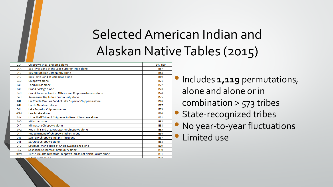## Selected American Indian and Alaskan NativeTables (2015)

| 214        | Chippewa tribal grouping alone                                 | B67-B99                |
|------------|----------------------------------------------------------------|------------------------|
| 04A        | Bad River Band of the Lake Superior Tribe alone                | <b>B67</b>             |
| 04B        | Bay Mills Indian Community alone                               | <b>B68</b>             |
| 04C        | Bois Forte Band of Chippewa alone                              | <b>B69</b>             |
| 04D        | Chippewa alone                                                 | <b>B71</b>             |
| 04E        | Fond du Lac alone                                              | B72                    |
| 04F        | <b>Grand Portage alone</b>                                     | <b>B73</b>             |
| 04G        | Grand Traverse Band of Ottawa and Chippewa Indians alone       | <b>B74</b>             |
| 04H        | Keweenaw Bay Indian Community alone                            | <b>B75</b>             |
| 041        | Lac Courte Oreilles Band of Lake Superior Chippewa alone       | <b>B76</b>             |
| 04J        | Lac du Flambeau alone                                          | B77                    |
| 04L        | Lake Superior Chippewa alone                                   | <b>B79</b>             |
| 04M        | Leech Lake alone                                               | <b>B80</b>             |
| 04N        | Little Shell Tribe of Chippewa Indians of Montana alone        | <b>B81</b>             |
| 04O        | Mille Lacs alone                                               | <b>B82</b>             |
| 04P        | Minnesota Chippewa alone                                       | B83                    |
| 04Q        | Red Cliff Band of Lake Superior Chippewa alone                 | <b>B85</b>             |
| 04R        | Red Lake Band of Chippewa Indians alone                        | <b>B86</b>             |
| 04S        | Saginaw Chippewa Indian Tribe alone                            | <b>B87</b>             |
| 04T        | St. Croix Chippewa alone                                       | <b>B88</b>             |
| 04U        | Sault Ste. Marie Tribe of Chippewa Indians alone               | <b>B89</b>             |
| 04V        | Sokaogon Chippewa Community alone                              | <b>B90</b>             |
| 04W        | Turtle Mountain Band of Chippewa Indians of North Dakota alone | <b>B91</b>             |
| <b>OAV</b> | White Farth along                                              | <b>DO</b> <sup>2</sup> |

• Includes **1,119** permutations, alone and alone or in combination > 573 tribes **State-recognized tribes** • No year-to-year fluctuations Limited use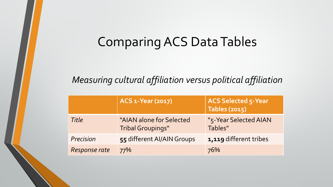### Comparing ACS Data Tables

### *Measuring cultural affiliation versus political affiliation*

|               | ACS 1-Year (2017)                                    | <b>ACS Selected 5-Year</b><br>Tables (2015) |
|---------------|------------------------------------------------------|---------------------------------------------|
| Title         | "AIAN alone for Selected<br><b>Tribal Groupings"</b> | "5-Year Selected AIAN<br>Tables"            |
| Precision     | 55 different AI/AIN Groups                           | 1,119 different tribes                      |
| Response rate | 77%                                                  | 76%                                         |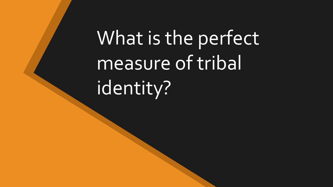What is the perfect measure of tribal identity?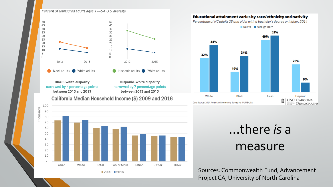#### Percent of uninsured adults ages 19-64, U.S. average



**Black-white disparity** narrowed by 4 percentage points between 2013 and 2015

Hispanic-white disparity narrowed by 7 percentage points between 2013 and 2015

California Median Household Income (\$) 2009 and 2016



#### Educational attainment varies by race/ethnicity and nativity

Percentage of NC adults 25 and older with a bachelor's degree or higher, 2014

Native Foreign-Born 53% 49% 44% 34% 32% 26% 19% 9%

Black

White

Data Source: 2014 American Community Survey via IPUMS-USA

...there *is* a measure

Asian

m

Hispanic

**CARDLERN** DEMOGRAPHY

**UNC CAROLINA** 

Sources: Commonwealth Fund, Advancement Project CA, University of North Carolina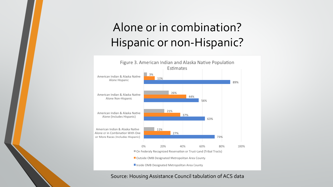### Alone or in combination? Hispanic or non-Hispanic?



#### Source: Housing Assistance Council tabulation of ACS data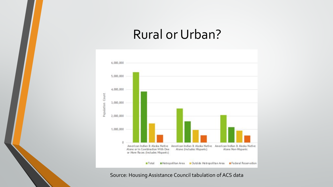### Rural or Urban?



Source: Housing Assistance Council tabulation of ACS data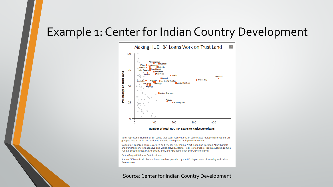### Example 1: Center for Indian Country Development



\*Augustine, Cabazon, Torres-Marinez, and Twenty-Nine Palms; \*Fort Yuma and Cocopah; \*Port Gamble and Port Madison; \*Ewiiaapaayp and Viejas, Navajo, Acoma, Hopi, Isleta Pueblo, Jicarilla Apache, Laguna Pueblo, Southern Ute, Ute Mountain, and Zuni; \*Standing Rock and Cheyenne River.

Omits Osage (610 loans, 34% trust land).

Source: CICD staff calculations based on data provided by the U.S. Department of Housing and Urban Development

#### Source: Center for Indian Country Development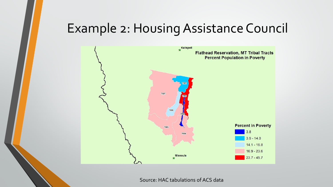### Example 2: Housing Assistance Council



Source: HAC tabulations of ACS data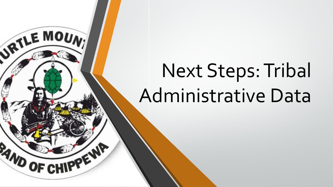# Next Steps: Tribal Administrative Data

JRTLE MOUNT

**RAND OF**